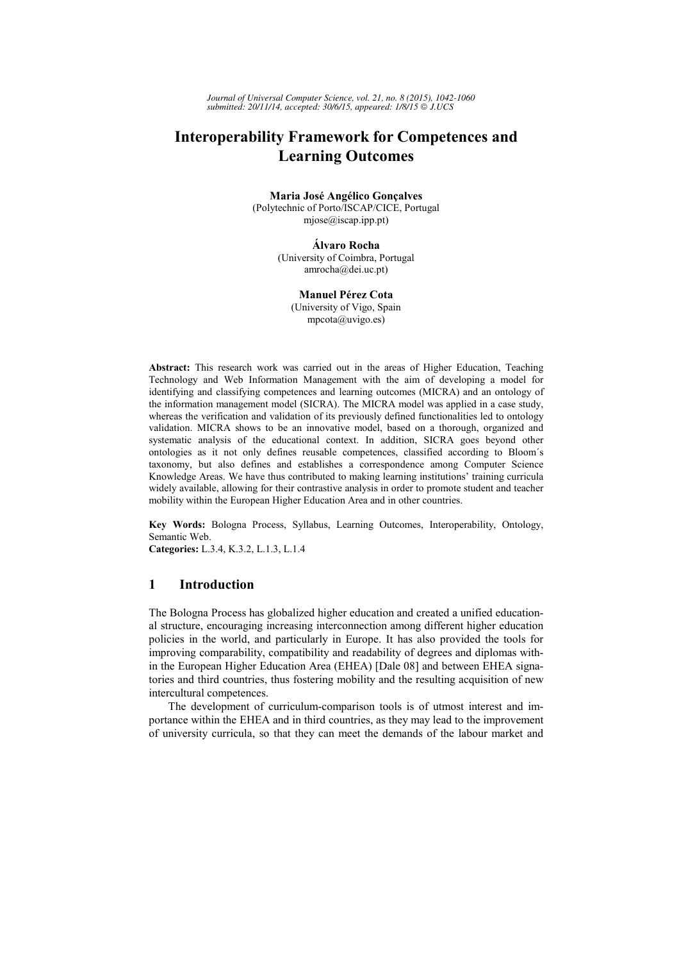*Journal of Universal Computer Science, vol. 21, no. 8 (2015), 1042-1060 submitted: 20/11/14, accepted: 30/6/15, appeared: 1/8/15 J.UCS*

## **Interoperability Framework for Competences and Learning Outcomes**

#### **Maria José Angélico Gonçalves**

(Polytechnic of Porto/ISCAP/CICE, Portugal mjose@iscap.ipp.pt)

#### **Álvaro Rocha**

(University of Coimbra, Portugal amrocha@dei.uc.pt)

#### **Manuel Pérez Cota**

(University of Vigo, Spain mpcota@uvigo.es)

**Abstract:** This research work was carried out in the areas of Higher Education, Teaching Technology and Web Information Management with the aim of developing a model for identifying and classifying competences and learning outcomes (MICRA) and an ontology of the information management model (SICRA). The MICRA model was applied in a case study, whereas the verification and validation of its previously defined functionalities led to ontology validation. MICRA shows to be an innovative model, based on a thorough, organized and systematic analysis of the educational context. In addition, SICRA goes beyond other ontologies as it not only defines reusable competences, classified according to Bloom´s taxonomy, but also defines and establishes a correspondence among Computer Science Knowledge Areas. We have thus contributed to making learning institutions' training curricula widely available, allowing for their contrastive analysis in order to promote student and teacher mobility within the European Higher Education Area and in other countries.

**Key Words:** Bologna Process, Syllabus, Learning Outcomes, Interoperability, Ontology, Semantic Web.

**Categories:** L.3.4, K.3.2, L.1.3, L.1.4

## **1 Introduction**

The Bologna Process has globalized higher education and created a unified educational structure, encouraging increasing interconnection among different higher education policies in the world, and particularly in Europe. It has also provided the tools for improving comparability, compatibility and readability of degrees and diplomas within the European Higher Education Area (EHEA) [Dale 08] and between EHEA signatories and third countries, thus fostering mobility and the resulting acquisition of new intercultural competences.

The development of curriculum-comparison tools is of utmost interest and importance within the EHEA and in third countries, as they may lead to the improvement of university curricula, so that they can meet the demands of the labour market and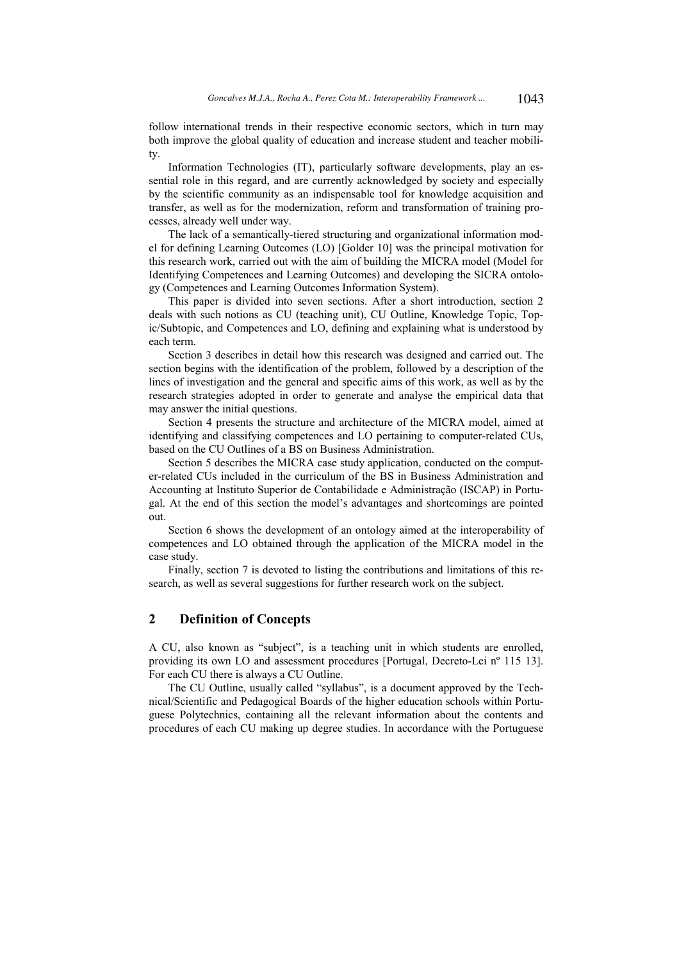follow international trends in their respective economic sectors, which in turn may both improve the global quality of education and increase student and teacher mobility.

Information Technologies (IT), particularly software developments, play an essential role in this regard, and are currently acknowledged by society and especially by the scientific community as an indispensable tool for knowledge acquisition and transfer, as well as for the modernization, reform and transformation of training processes, already well under way.

The lack of a semantically-tiered structuring and organizational information model for defining Learning Outcomes (LO) [Golder 10] was the principal motivation for this research work, carried out with the aim of building the MICRA model (Model for Identifying Competences and Learning Outcomes) and developing the SICRA ontology (Competences and Learning Outcomes Information System).

This paper is divided into seven sections. After a short introduction, section 2 deals with such notions as CU (teaching unit), CU Outline, Knowledge Topic, Topic/Subtopic, and Competences and LO, defining and explaining what is understood by each term.

Section 3 describes in detail how this research was designed and carried out. The section begins with the identification of the problem, followed by a description of the lines of investigation and the general and specific aims of this work, as well as by the research strategies adopted in order to generate and analyse the empirical data that may answer the initial questions.

Section 4 presents the structure and architecture of the MICRA model, aimed at identifying and classifying competences and LO pertaining to computer-related CUs, based on the CU Outlines of a BS on Business Administration.

Section 5 describes the MICRA case study application, conducted on the computer-related CUs included in the curriculum of the BS in Business Administration and Accounting at Instituto Superior de Contabilidade e Administração (ISCAP) in Portugal. At the end of this section the model's advantages and shortcomings are pointed out.

Section 6 shows the development of an ontology aimed at the interoperability of competences and LO obtained through the application of the MICRA model in the case study.

Finally, section 7 is devoted to listing the contributions and limitations of this research, as well as several suggestions for further research work on the subject.

## **2 Definition of Concepts**

A CU, also known as "subject", is a teaching unit in which students are enrolled, providing its own LO and assessment procedures [Portugal, Decreto-Lei nº 115 13]. For each CU there is always a CU Outline.

The CU Outline, usually called "syllabus", is a document approved by the Technical/Scientific and Pedagogical Boards of the higher education schools within Portuguese Polytechnics, containing all the relevant information about the contents and procedures of each CU making up degree studies. In accordance with the Portuguese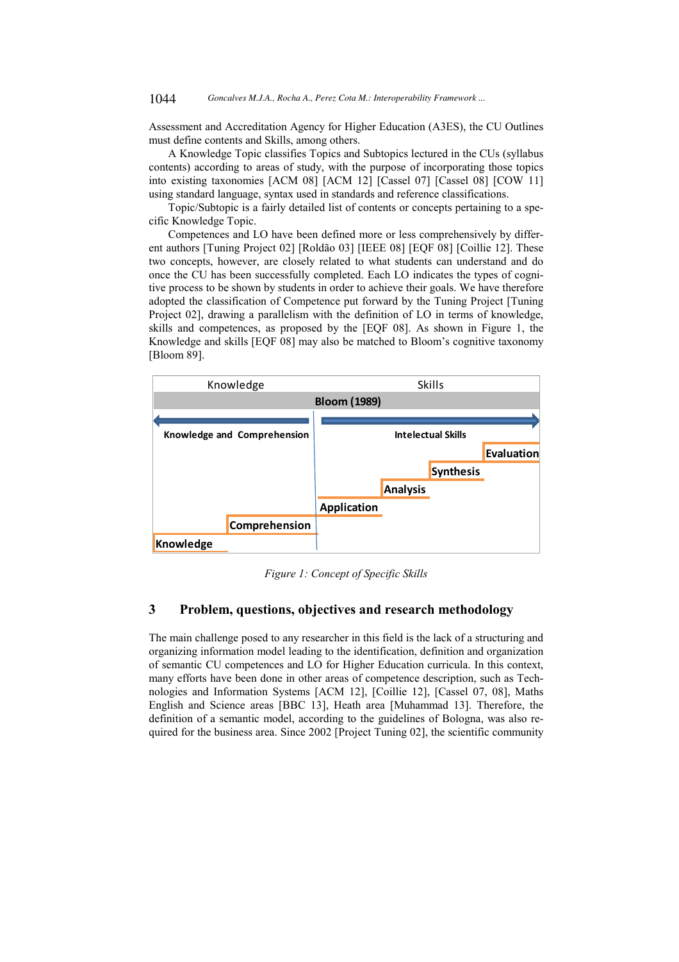Assessment and Accreditation Agency for Higher Education (A3ES), the CU Outlines must define contents and Skills, among others.

A Knowledge Topic classifies Topics and Subtopics lectured in the CUs (syllabus contents) according to areas of study, with the purpose of incorporating those topics into existing taxonomies [ACM 08] [ACM 12] [Cassel 07] [Cassel 08] [COW 11] using standard language, syntax used in standards and reference classifications.

Topic/Subtopic is a fairly detailed list of contents or concepts pertaining to a specific Knowledge Topic.

Competences and LO have been defined more or less comprehensively by different authors [Tuning Project 02] [Roldão 03] [IEEE 08] [EQF 08] [Coillie 12]. These two concepts, however, are closely related to what students can understand and do once the CU has been successfully completed. Each LO indicates the types of cognitive process to be shown by students in order to achieve their goals. We have therefore adopted the classification of Competence put forward by the Tuning Project [Tuning Project 02], drawing a parallelism with the definition of LO in terms of knowledge, skills and competences, as proposed by the [EQF 08]. As shown in Figure 1, the Knowledge and skills [EQF 08] may also be matched to Bloom's cognitive taxonomy [Bloom 89].



*Figure 1: Concept of Specific Skills* 

## **3 Problem, questions, objectives and research methodology**

The main challenge posed to any researcher in this field is the lack of a structuring and organizing information model leading to the identification, definition and organization of semantic CU competences and LO for Higher Education curricula. In this context, many efforts have been done in other areas of competence description, such as Technologies and Information Systems [ACM 12], [Coillie 12], [Cassel 07, 08], Maths English and Science areas [BBC 13], Heath area [Muhammad 13]. Therefore, the definition of a semantic model, according to the guidelines of Bologna, was also required for the business area. Since 2002 [Project Tuning 02], the scientific community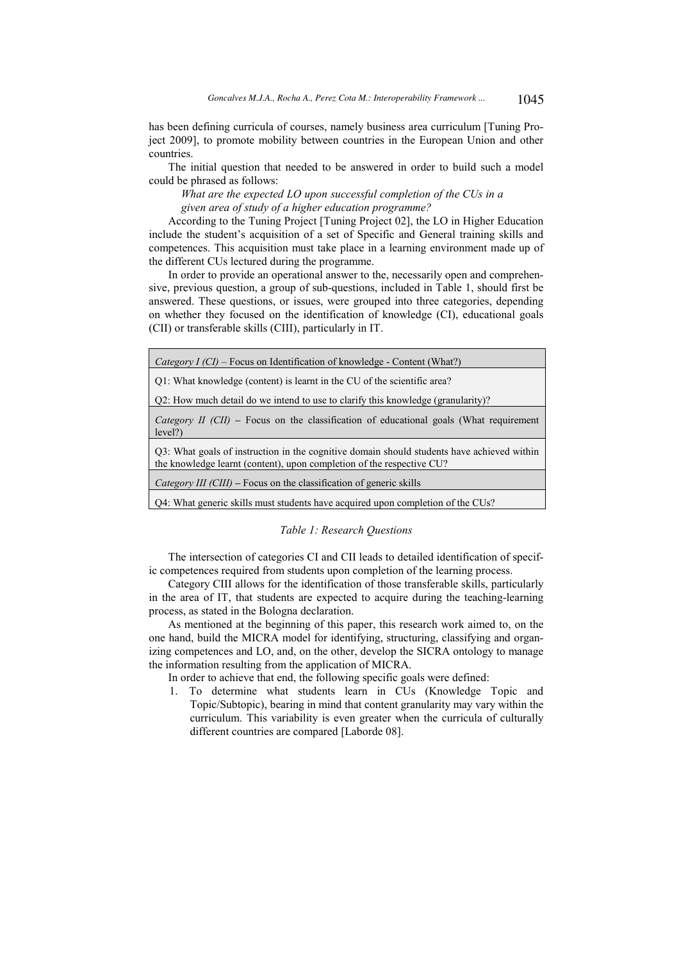has been defining curricula of courses, namely business area curriculum [Tuning Project 2009], to promote mobility between countries in the European Union and other countries.

The initial question that needed to be answered in order to build such a model could be phrased as follows:

*What are the expected LO upon successful completion of the CUs in a given area of study of a higher education programme?* 

According to the Tuning Project [Tuning Project 02], the LO in Higher Education include the student's acquisition of a set of Specific and General training skills and competences. This acquisition must take place in a learning environment made up of the different CUs lectured during the programme.

In order to provide an operational answer to the, necessarily open and comprehensive, previous question, a group of sub-questions, included in Table 1, should first be answered. These questions, or issues, were grouped into three categories, depending on whether they focused on the identification of knowledge (CI), educational goals (CII) or transferable skills (CIII), particularly in IT.

| <i>Category I (CI)</i> – Focus on Identification of knowledge - Content (What?)                                                                                     |
|---------------------------------------------------------------------------------------------------------------------------------------------------------------------|
| Q1: What knowledge (content) is learnt in the CU of the scientific area?                                                                                            |
| Q2: How much detail do we intend to use to clarify this knowledge (granularity)?                                                                                    |
| <i>Category II (CII)</i> – Focus on the classification of educational goals (What requirement<br>level?)                                                            |
| Q3: What goals of instruction in the cognitive domain should students have achieved within<br>the knowledge learnt (content), upon completion of the respective CU? |
| <i>Category III (CIII)</i> – Focus on the classification of generic skills                                                                                          |
| Q4: What generic skills must students have acquired upon completion of the CUs?                                                                                     |

#### *Table 1: Research Questions*

The intersection of categories CI and CII leads to detailed identification of specific competences required from students upon completion of the learning process.

Category CIII allows for the identification of those transferable skills, particularly in the area of IT, that students are expected to acquire during the teaching-learning process, as stated in the Bologna declaration.

As mentioned at the beginning of this paper, this research work aimed to, on the one hand, build the MICRA model for identifying, structuring, classifying and organizing competences and LO, and, on the other, develop the SICRA ontology to manage the information resulting from the application of MICRA.

In order to achieve that end, the following specific goals were defined:

1. To determine what students learn in CUs (Knowledge Topic and Topic/Subtopic), bearing in mind that content granularity may vary within the curriculum. This variability is even greater when the curricula of culturally different countries are compared [Laborde 08].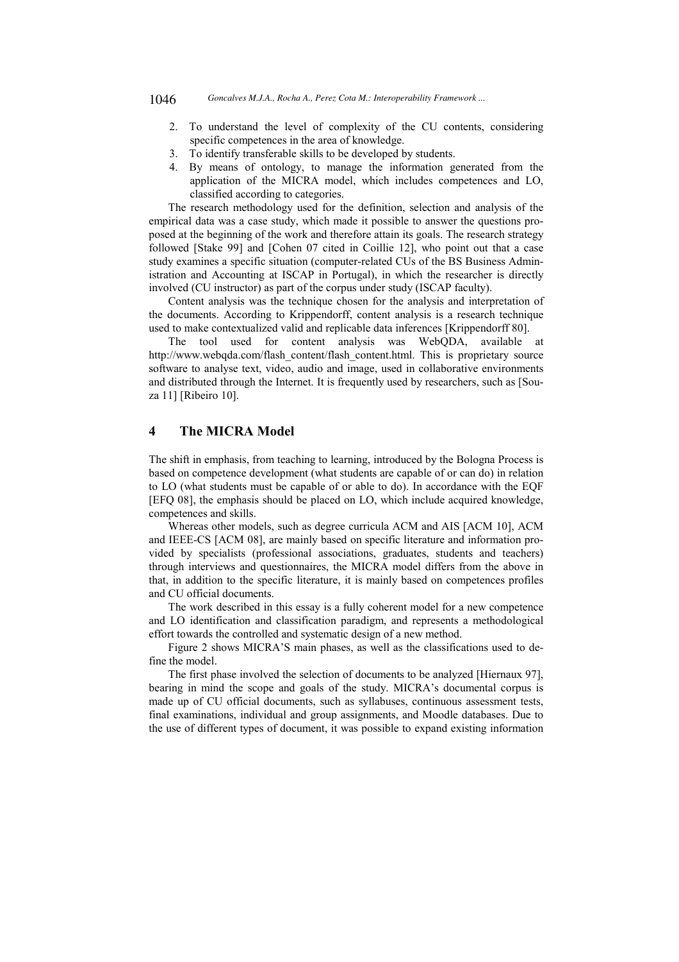- 2. To understand the level of complexity of the CU contents, considering specific competences in the area of knowledge.
- 3. To identify transferable skills to be developed by students.
- 4. By means of ontology, to manage the information generated from the application of the MICRA model, which includes competences and LO, classified according to categories.

The research methodology used for the definition, selection and analysis of the empirical data was a case study, which made it possible to answer the questions proposed at the beginning of the work and therefore attain its goals. The research strategy followed [Stake 99] and [Cohen 07 cited in Coillie 12], who point out that a case study examines a specific situation (computer-related CUs of the BS Business Administration and Accounting at ISCAP in Portugal), in which the researcher is directly involved (CU instructor) as part of the corpus under study (ISCAP faculty).

Content analysis was the technique chosen for the analysis and interpretation of the documents. According to Krippendorff, content analysis is a research technique used to make contextualized valid and replicable data inferences [Krippendorff 80].

The tool used for content analysis was WebQDA, available at http://www.webqda.com/flash\_content/flash\_content.html. This is proprietary source software to analyse text, video, audio and image, used in collaborative environments and distributed through the Internet. It is frequently used by researchers, such as [Souza 11] [Ribeiro 10].

## **4 The MICRA Model**

The shift in emphasis, from teaching to learning, introduced by the Bologna Process is based on competence development (what students are capable of or can do) in relation to LO (what students must be capable of or able to do). In accordance with the EQF [EFQ 08], the emphasis should be placed on LO, which include acquired knowledge, competences and skills.

Whereas other models, such as degree curricula ACM and AIS [ACM 10], ACM and IEEE-CS [ACM 08], are mainly based on specific literature and information provided by specialists (professional associations, graduates, students and teachers) through interviews and questionnaires, the MICRA model differs from the above in that, in addition to the specific literature, it is mainly based on competences profiles and CU official documents.

The work described in this essay is a fully coherent model for a new competence and LO identification and classification paradigm, and represents a methodological effort towards the controlled and systematic design of a new method.

Figure 2 shows MICRA'S main phases, as well as the classifications used to define the model.

The first phase involved the selection of documents to be analyzed [Hiernaux 97], bearing in mind the scope and goals of the study. MICRA's documental corpus is made up of CU official documents, such as syllabuses, continuous assessment tests, final examinations, individual and group assignments, and Moodle databases. Due to the use of different types of document, it was possible to expand existing information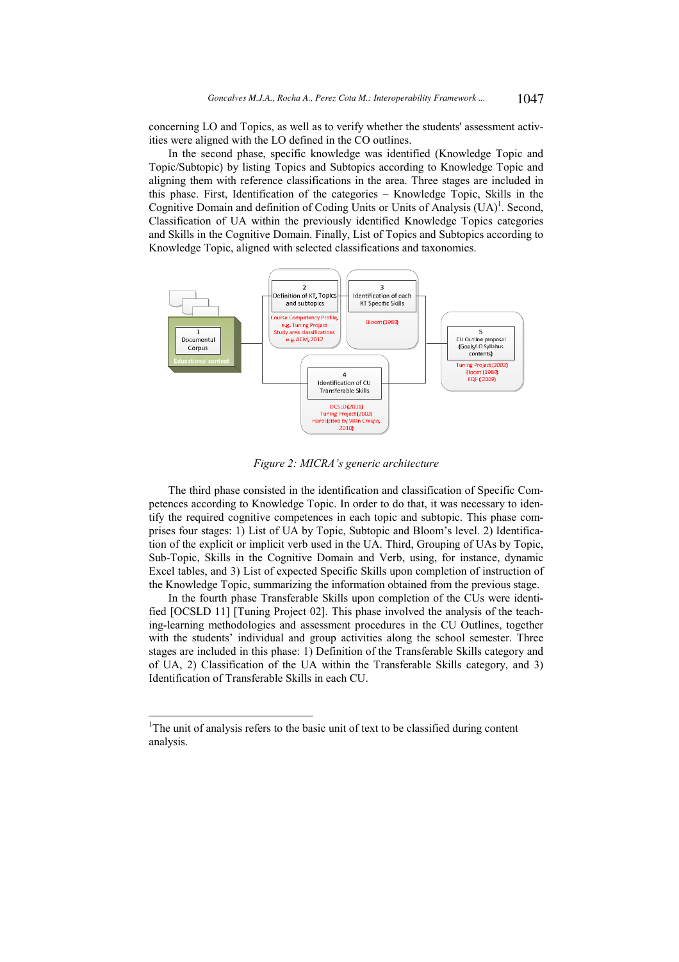concerning LO and Topics, as well as to verify whether the students' assessment activities were aligned with the LO defined in the CO outlines.

In the second phase, specific knowledge was identified (Knowledge Topic and Topic/Subtopic) by listing Topics and Subtopics according to Knowledge Topic and aligning them with reference classifications in the area. Three stages are included in this phase. First, Identification of the categories – Knowledge Topic, Skills in the Cognitive Domain and definition of Coding Units or Units of Analysis  $(UA)^{1}$ . Second, Classification of UA within the previously identified Knowledge Topics categories and Skills in the Cognitive Domain. Finally, List of Topics and Subtopics according to Knowledge Topic, aligned with selected classifications and taxonomies.



*Figure 2: MICRA's generic architecture* 

The third phase consisted in the identification and classification of Specific Competences according to Knowledge Topic. In order to do that, it was necessary to identify the required cognitive competences in each topic and subtopic. This phase comprises four stages: 1) List of UA by Topic, Subtopic and Bloom's level. 2) Identification of the explicit or implicit verb used in the UA. Third, Grouping of UAs by Topic, Sub-Topic, Skills in the Cognitive Domain and Verb, using, for instance, dynamic Excel tables, and 3) List of expected Specific Skills upon completion of instruction of the Knowledge Topic, summarizing the information obtained from the previous stage.

In the fourth phase Transferable Skills upon completion of the CUs were identified [OCSLD 11] [Tuning Project 02]. This phase involved the analysis of the teaching-learning methodologies and assessment procedures in the CU Outlines, together with the students' individual and group activities along the school semester. Three stages are included in this phase: 1) Definition of the Transferable Skills category and of UA, 2) Classification of the UA within the Transferable Skills category, and 3) Identification of Transferable Skills in each CU.

-

<sup>&</sup>lt;sup>1</sup>The unit of analysis refers to the basic unit of text to be classified during content analysis.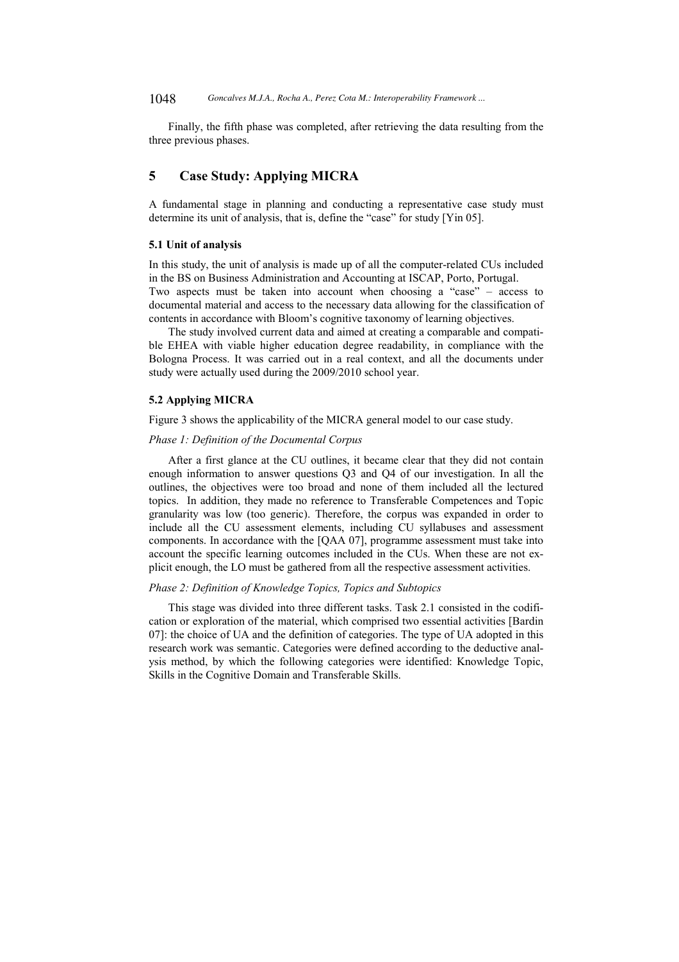Finally, the fifth phase was completed, after retrieving the data resulting from the three previous phases.

## **5 Case Study: Applying MICRA**

A fundamental stage in planning and conducting a representative case study must determine its unit of analysis, that is, define the "case" for study [Yin 05].

#### **5.1 Unit of analysis**

In this study, the unit of analysis is made up of all the computer-related CUs included in the BS on Business Administration and Accounting at ISCAP, Porto, Portugal. Two aspects must be taken into account when choosing a "case" – access to documental material and access to the necessary data allowing for the classification of contents in accordance with Bloom's cognitive taxonomy of learning objectives.

The study involved current data and aimed at creating a comparable and compatible EHEA with viable higher education degree readability, in compliance with the Bologna Process. It was carried out in a real context, and all the documents under study were actually used during the 2009/2010 school year.

#### **5.2 Applying MICRA**

Figure 3 shows the applicability of the MICRA general model to our case study.

#### *Phase 1: Definition of the Documental Corpus*

After a first glance at the CU outlines, it became clear that they did not contain enough information to answer questions Q3 and Q4 of our investigation. In all the outlines, the objectives were too broad and none of them included all the lectured topics. In addition, they made no reference to Transferable Competences and Topic granularity was low (too generic). Therefore, the corpus was expanded in order to include all the CU assessment elements, including CU syllabuses and assessment components. In accordance with the [QAA 07], programme assessment must take into account the specific learning outcomes included in the CUs. When these are not explicit enough, the LO must be gathered from all the respective assessment activities.

#### *Phase 2: Definition of Knowledge Topics, Topics and Subtopics*

This stage was divided into three different tasks. Task 2.1 consisted in the codification or exploration of the material, which comprised two essential activities [Bardin 07]: the choice of UA and the definition of categories. The type of UA adopted in this research work was semantic. Categories were defined according to the deductive analysis method, by which the following categories were identified: Knowledge Topic, Skills in the Cognitive Domain and Transferable Skills.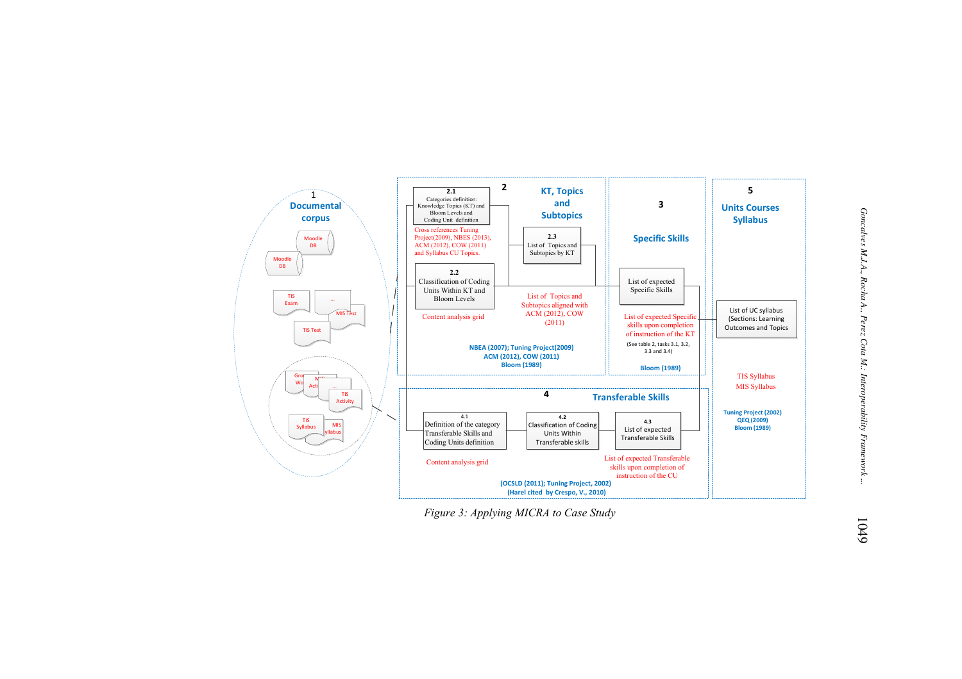

*Figure 3: Applying MICRA to Case Study*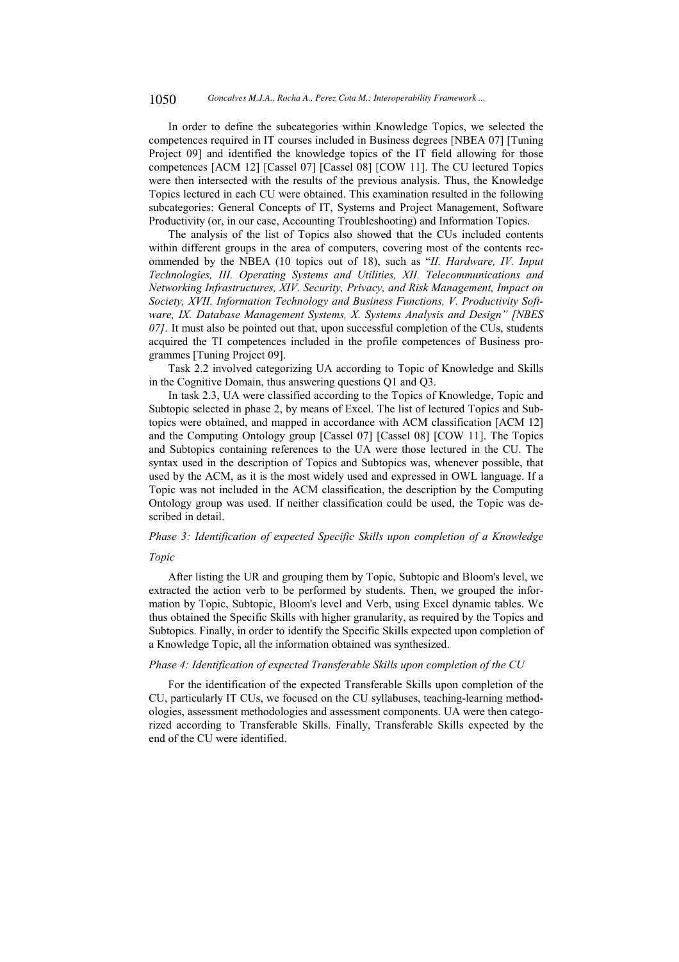In order to define the subcategories within Knowledge Topics, we selected the competences required in IT courses included in Business degrees [NBEA 07] [Tuning Project 09] and identified the knowledge topics of the IT field allowing for those competences [ACM 12] [Cassel 07] [Cassel 08] [COW 11]. The CU lectured Topics were then intersected with the results of the previous analysis. Thus, the Knowledge Topics lectured in each CU were obtained. This examination resulted in the following subcategories: General Concepts of IT, Systems and Project Management, Software Productivity (or, in our case, Accounting Troubleshooting) and Information Topics.

The analysis of the list of Topics also showed that the CUs included contents within different groups in the area of computers, covering most of the contents recommended by the NBEA (10 topics out of 18), such as "*II. Hardware, IV. Input Technologies, III. Operating Systems and Utilities, XII. Telecommunications and Networking Infrastructures, XIV. Security, Privacy, and Risk Management, Impact on Society, XVII. Information Technology and Business Functions, V. Productivity Software, IX. Database Management Systems, X. Systems Analysis and Design" [NBES 07].* It must also be pointed out that, upon successful completion of the CUs, students acquired the TI competences included in the profile competences of Business programmes [Tuning Project 09].

Task 2.2 involved categorizing UA according to Topic of Knowledge and Skills in the Cognitive Domain, thus answering questions Q1 and Q3.

In task 2.3, UA were classified according to the Topics of Knowledge, Topic and Subtopic selected in phase 2, by means of Excel. The list of lectured Topics and Subtopics were obtained, and mapped in accordance with ACM classification [ACM 12] and the Computing Ontology group [Cassel 07] [Cassel 08] [COW 11]. The Topics and Subtopics containing references to the UA were those lectured in the CU. The syntax used in the description of Topics and Subtopics was, whenever possible, that used by the ACM, as it is the most widely used and expressed in OWL language. If a Topic was not included in the ACM classification, the description by the Computing Ontology group was used. If neither classification could be used, the Topic was described in detail.

# *Phase 3: Identification of expected Specific Skills upon completion of a Knowledge*

#### *Topic*

After listing the UR and grouping them by Topic, Subtopic and Bloom's level, we extracted the action verb to be performed by students. Then, we grouped the information by Topic, Subtopic, Bloom's level and Verb, using Excel dynamic tables. We thus obtained the Specific Skills with higher granularity, as required by the Topics and Subtopics. Finally, in order to identify the Specific Skills expected upon completion of a Knowledge Topic, all the information obtained was synthesized.

#### *Phase 4: Identification of expected Transferable Skills upon completion of the CU*

For the identification of the expected Transferable Skills upon completion of the CU, particularly IT CUs, we focused on the CU syllabuses, teaching-learning methodologies, assessment methodologies and assessment components. UA were then categorized according to Transferable Skills. Finally, Transferable Skills expected by the end of the CU were identified.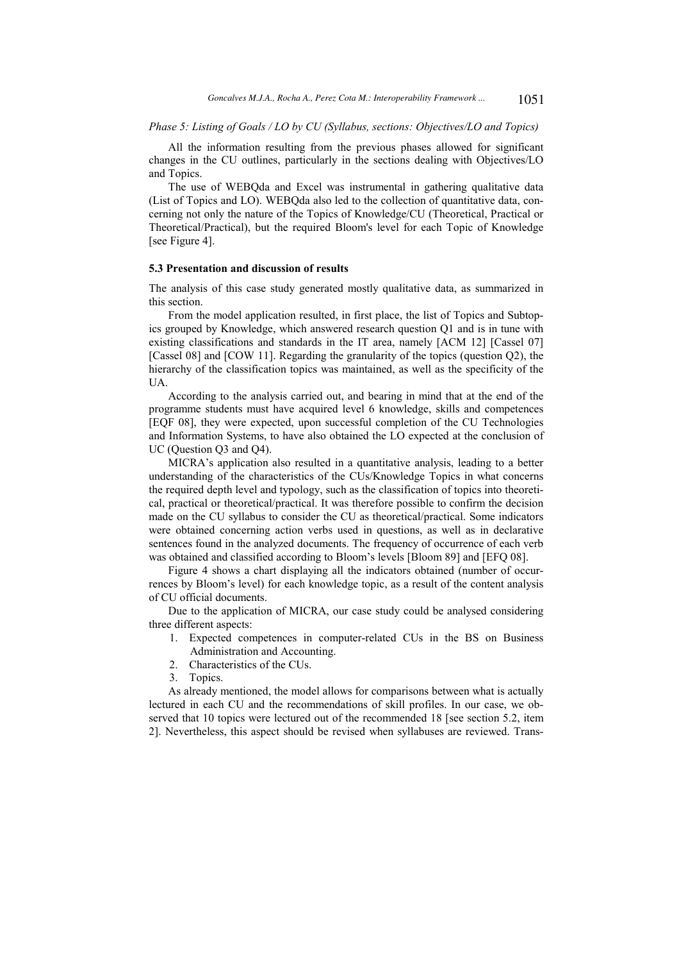#### *Phase 5: Listing of Goals / LO by CU (Syllabus, sections: Objectives/LO and Topics)*

All the information resulting from the previous phases allowed for significant changes in the CU outlines, particularly in the sections dealing with Objectives/LO and Topics.

The use of WEBQda and Excel was instrumental in gathering qualitative data (List of Topics and LO). WEBQda also led to the collection of quantitative data, concerning not only the nature of the Topics of Knowledge/CU (Theoretical, Practical or Theoretical/Practical), but the required Bloom's level for each Topic of Knowledge [see Figure 4].

#### **5.3 Presentation and discussion of results**

The analysis of this case study generated mostly qualitative data, as summarized in this section.

From the model application resulted, in first place, the list of Topics and Subtopics grouped by Knowledge, which answered research question Q1 and is in tune with existing classifications and standards in the IT area, namely [ACM 12] [Cassel 07] [Cassel 08] and [COW 11]. Regarding the granularity of the topics (question Q2), the hierarchy of the classification topics was maintained, as well as the specificity of the UA.

According to the analysis carried out, and bearing in mind that at the end of the programme students must have acquired level 6 knowledge, skills and competences [EQF 08], they were expected, upon successful completion of the CU Technologies and Information Systems, to have also obtained the LO expected at the conclusion of UC (Question Q3 and Q4).

MICRA's application also resulted in a quantitative analysis, leading to a better understanding of the characteristics of the CUs/Knowledge Topics in what concerns the required depth level and typology, such as the classification of topics into theoretical, practical or theoretical/practical. It was therefore possible to confirm the decision made on the CU syllabus to consider the CU as theoretical/practical. Some indicators were obtained concerning action verbs used in questions, as well as in declarative sentences found in the analyzed documents. The frequency of occurrence of each verb was obtained and classified according to Bloom's levels [Bloom 89] and [EFQ 08].

Figure 4 shows a chart displaying all the indicators obtained (number of occurrences by Bloom's level) for each knowledge topic, as a result of the content analysis of CU official documents.

Due to the application of MICRA, our case study could be analysed considering three different aspects:

- 1. Expected competences in computer-related CUs in the BS on Business Administration and Accounting.
- 2. Characteristics of the CUs.
- 3. Topics.

As already mentioned, the model allows for comparisons between what is actually lectured in each CU and the recommendations of skill profiles. In our case, we observed that 10 topics were lectured out of the recommended 18 [see section 5.2, item 2]. Nevertheless, this aspect should be revised when syllabuses are reviewed. Trans-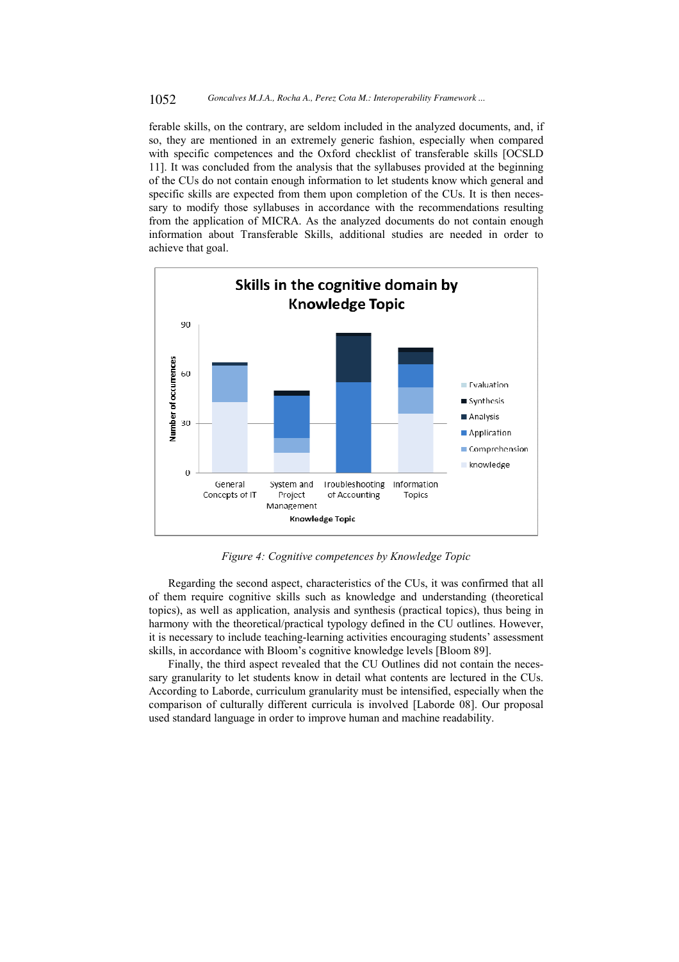ferable skills, on the contrary, are seldom included in the analyzed documents, and, if so, they are mentioned in an extremely generic fashion, especially when compared with specific competences and the Oxford checklist of transferable skills [OCSLD 11]. It was concluded from the analysis that the syllabuses provided at the beginning of the CUs do not contain enough information to let students know which general and specific skills are expected from them upon completion of the CUs. It is then necessary to modify those syllabuses in accordance with the recommendations resulting from the application of MICRA. As the analyzed documents do not contain enough information about Transferable Skills, additional studies are needed in order to achieve that goal.



*Figure 4: Cognitive competences by Knowledge Topic* 

Regarding the second aspect, characteristics of the CUs, it was confirmed that all of them require cognitive skills such as knowledge and understanding (theoretical topics), as well as application, analysis and synthesis (practical topics), thus being in harmony with the theoretical/practical typology defined in the CU outlines. However, it is necessary to include teaching-learning activities encouraging students' assessment skills, in accordance with Bloom's cognitive knowledge levels [Bloom 89].

Finally, the third aspect revealed that the CU Outlines did not contain the necessary granularity to let students know in detail what contents are lectured in the CUs. According to Laborde, curriculum granularity must be intensified, especially when the comparison of culturally different curricula is involved [Laborde 08]. Our proposal used standard language in order to improve human and machine readability.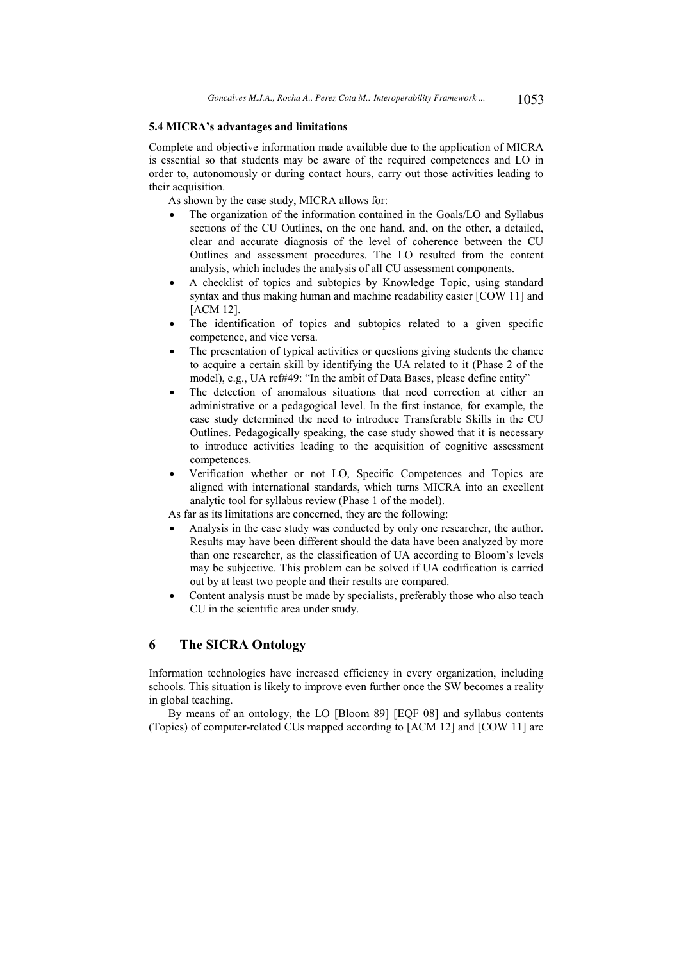#### **5.4 MICRA's advantages and limitations**

Complete and objective information made available due to the application of MICRA is essential so that students may be aware of the required competences and LO in order to, autonomously or during contact hours, carry out those activities leading to their acquisition.

As shown by the case study, MICRA allows for:

- The organization of the information contained in the Goals/LO and Syllabus sections of the CU Outlines, on the one hand, and, on the other, a detailed, clear and accurate diagnosis of the level of coherence between the CU Outlines and assessment procedures. The LO resulted from the content analysis, which includes the analysis of all CU assessment components.
- A checklist of topics and subtopics by Knowledge Topic, using standard syntax and thus making human and machine readability easier [COW 11] and [ACM 12].
- The identification of topics and subtopics related to a given specific competence, and vice versa.
- The presentation of typical activities or questions giving students the chance to acquire a certain skill by identifying the UA related to it (Phase 2 of the model), e.g., UA ref#49: "In the ambit of Data Bases, please define entity"
- The detection of anomalous situations that need correction at either an administrative or a pedagogical level. In the first instance, for example, the case study determined the need to introduce Transferable Skills in the CU Outlines. Pedagogically speaking, the case study showed that it is necessary to introduce activities leading to the acquisition of cognitive assessment competences.
- Verification whether or not LO, Specific Competences and Topics are aligned with international standards, which turns MICRA into an excellent analytic tool for syllabus review (Phase 1 of the model).

As far as its limitations are concerned, they are the following:

- Analysis in the case study was conducted by only one researcher, the author. Results may have been different should the data have been analyzed by more than one researcher, as the classification of UA according to Bloom's levels may be subjective. This problem can be solved if UA codification is carried out by at least two people and their results are compared.
- Content analysis must be made by specialists, preferably those who also teach CU in the scientific area under study.

### **6 The SICRA Ontology**

Information technologies have increased efficiency in every organization, including schools. This situation is likely to improve even further once the SW becomes a reality in global teaching.

By means of an ontology, the LO [Bloom 89] [EQF 08] and syllabus contents (Topics) of computer-related CUs mapped according to [ACM 12] and [COW 11] are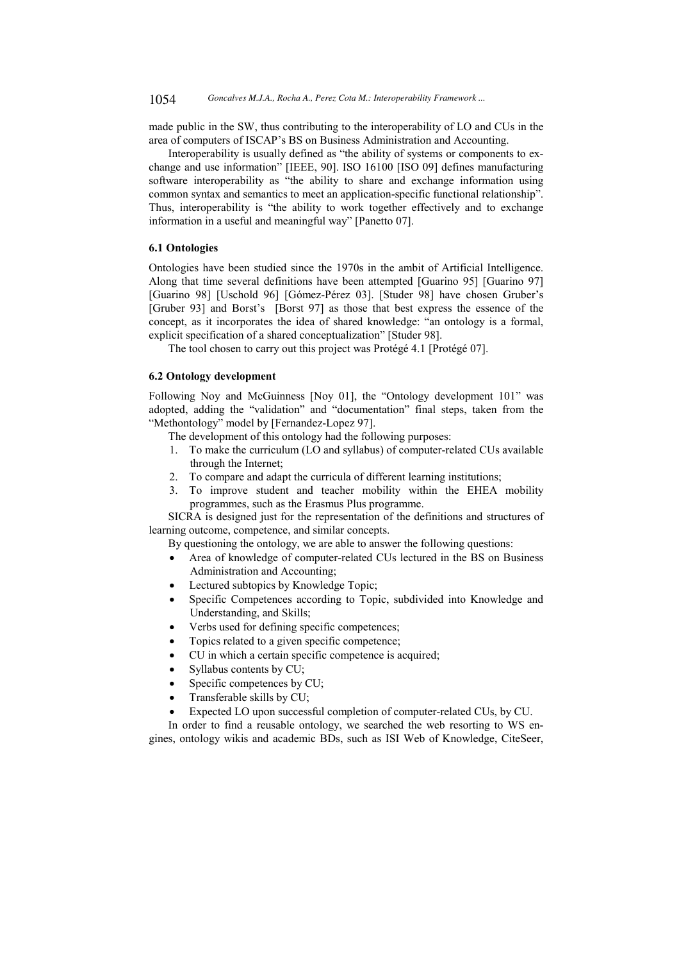made public in the SW, thus contributing to the interoperability of LO and CUs in the area of computers of ISCAP's BS on Business Administration and Accounting.

Interoperability is usually defined as "the ability of systems or components to exchange and use information" [IEEE, 90]. ISO 16100 [ISO 09] defines manufacturing software interoperability as "the ability to share and exchange information using common syntax and semantics to meet an application-specific functional relationship". Thus, interoperability is "the ability to work together effectively and to exchange information in a useful and meaningful way" [Panetto 07].

#### **6.1 Ontologies**

Ontologies have been studied since the 1970s in the ambit of Artificial Intelligence. Along that time several definitions have been attempted [Guarino 95] [Guarino 97] [Guarino 98] [Uschold 96] [Gómez-Pérez 03]. [Studer 98] have chosen Gruber's [Gruber 93] and Borst's [Borst 97] as those that best express the essence of the concept, as it incorporates the idea of shared knowledge: "an ontology is a formal, explicit specification of a shared conceptualization" [Studer 98].

The tool chosen to carry out this project was Protégé 4.1 [Protégé 07].

#### **6.2 Ontology development**

Following Noy and McGuinness [Noy 01], the "Ontology development 101" was adopted, adding the "validation" and "documentation" final steps, taken from the "Methontology" model by [Fernandez-Lopez 97].

- The development of this ontology had the following purposes:
- 1. To make the curriculum (LO and syllabus) of computer-related CUs available through the Internet;
- 2. To compare and adapt the curricula of different learning institutions;
- 3. To improve student and teacher mobility within the EHEA mobility programmes, such as the Erasmus Plus programme.

SICRA is designed just for the representation of the definitions and structures of learning outcome, competence, and similar concepts.

By questioning the ontology, we are able to answer the following questions:

- Area of knowledge of computer-related CUs lectured in the BS on Business Administration and Accounting;
- Lectured subtopics by Knowledge Topic;
- Specific Competences according to Topic, subdivided into Knowledge and Understanding, and Skills;
- Verbs used for defining specific competences;
- Topics related to a given specific competence;
- CU in which a certain specific competence is acquired;
- Syllabus contents by CU;
- Specific competences by CU;
- Transferable skills by CU;
- Expected LO upon successful completion of computer-related CUs, by CU.

In order to find a reusable ontology, we searched the web resorting to WS engines, ontology wikis and academic BDs, such as ISI Web of Knowledge, CiteSeer,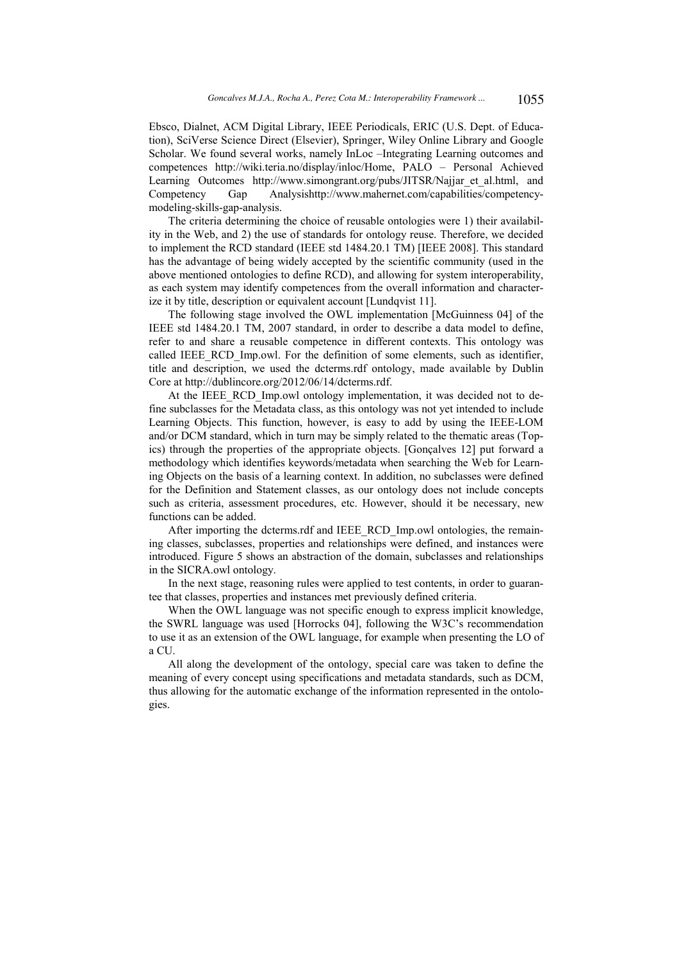Ebsco, Dialnet, ACM Digital Library, IEEE Periodicals, ERIC (U.S. Dept. of Education), SciVerse Science Direct (Elsevier), Springer, Wiley Online Library and Google Scholar. We found several works, namely InLoc –Integrating Learning outcomes and competences http://wiki.teria.no/display/inloc/Home, PALO – Personal Achieved Learning Outcomes http://www.simongrant.org/pubs/JITSR/Najjar\_et\_al.html, and Competency Gap Analysishttp://www.mahernet.com/capabilities/competencymodeling-skills-gap-analysis.

The criteria determining the choice of reusable ontologies were 1) their availability in the Web, and 2) the use of standards for ontology reuse. Therefore, we decided to implement the RCD standard (IEEE std 1484.20.1 TM) [IEEE 2008]. This standard has the advantage of being widely accepted by the scientific community (used in the above mentioned ontologies to define RCD), and allowing for system interoperability, as each system may identify competences from the overall information and characterize it by title, description or equivalent account [Lundqvist 11].

The following stage involved the OWL implementation [McGuinness 04] of the IEEE std 1484.20.1 TM, 2007 standard, in order to describe a data model to define, refer to and share a reusable competence in different contexts. This ontology was called IEEE\_RCD\_Imp.owl. For the definition of some elements, such as identifier, title and description, we used the dcterms.rdf ontology, made available by Dublin Core at http://dublincore.org/2012/06/14/dcterms.rdf.

At the IEEE\_RCD\_Imp.owl ontology implementation, it was decided not to define subclasses for the Metadata class, as this ontology was not yet intended to include Learning Objects. This function, however, is easy to add by using the IEEE-LOM and/or DCM standard, which in turn may be simply related to the thematic areas (Topics) through the properties of the appropriate objects. [Gonçalves 12] put forward a methodology which identifies keywords/metadata when searching the Web for Learning Objects on the basis of a learning context. In addition, no subclasses were defined for the Definition and Statement classes, as our ontology does not include concepts such as criteria, assessment procedures, etc. However, should it be necessary, new functions can be added.

After importing the dcterms.rdf and IEEE\_RCD\_Imp.owl ontologies, the remaining classes, subclasses, properties and relationships were defined, and instances were introduced. Figure 5 shows an abstraction of the domain, subclasses and relationships in the SICRA.owl ontology.

In the next stage, reasoning rules were applied to test contents, in order to guarantee that classes, properties and instances met previously defined criteria.

When the OWL language was not specific enough to express implicit knowledge, the SWRL language was used [Horrocks 04], following the W3C's recommendation to use it as an extension of the OWL language, for example when presenting the LO of a CU.

All along the development of the ontology, special care was taken to define the meaning of every concept using specifications and metadata standards, such as DCM, thus allowing for the automatic exchange of the information represented in the ontologies.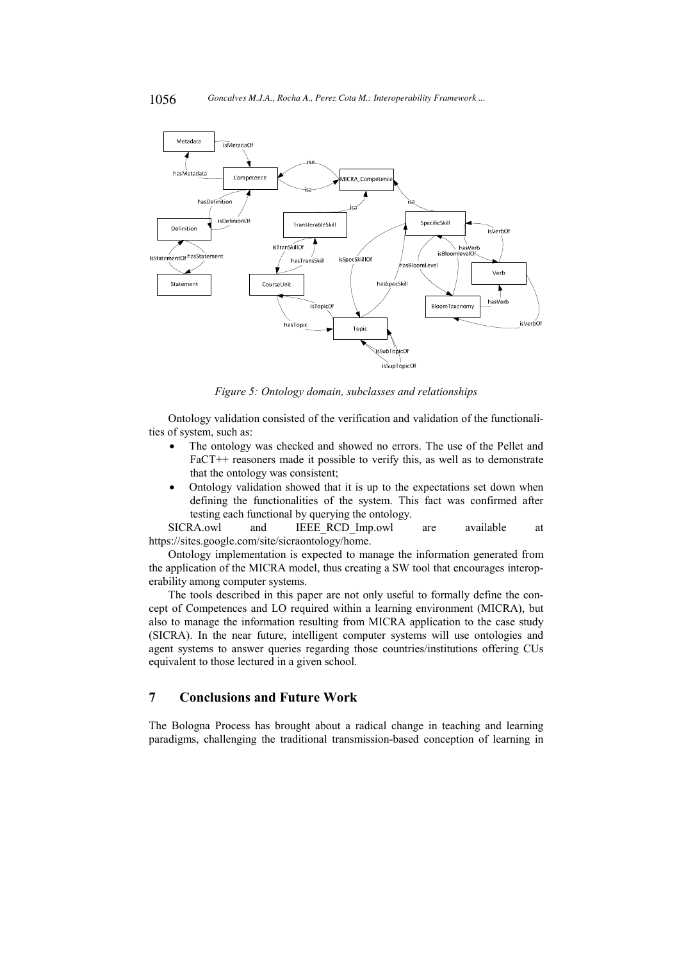

*Figure 5: Ontology domain, subclasses and relationships* 

Ontology validation consisted of the verification and validation of the functionalities of system, such as:

- The ontology was checked and showed no errors. The use of the Pellet and FaCT++ reasoners made it possible to verify this, as well as to demonstrate that the ontology was consistent;
- Ontology validation showed that it is up to the expectations set down when defining the functionalities of the system. This fact was confirmed after testing each functional by querying the ontology.

SICRA.owl and IEEE\_RCD\_Imp.owl are available at https://sites.google.com/site/sicraontology/home.

Ontology implementation is expected to manage the information generated from the application of the MICRA model, thus creating a SW tool that encourages interoperability among computer systems.

The tools described in this paper are not only useful to formally define the concept of Competences and LO required within a learning environment (MICRA), but also to manage the information resulting from MICRA application to the case study (SICRA). In the near future, intelligent computer systems will use ontologies and agent systems to answer queries regarding those countries/institutions offering CUs equivalent to those lectured in a given school.

## **7 Conclusions and Future Work**

The Bologna Process has brought about a radical change in teaching and learning paradigms, challenging the traditional transmission-based conception of learning in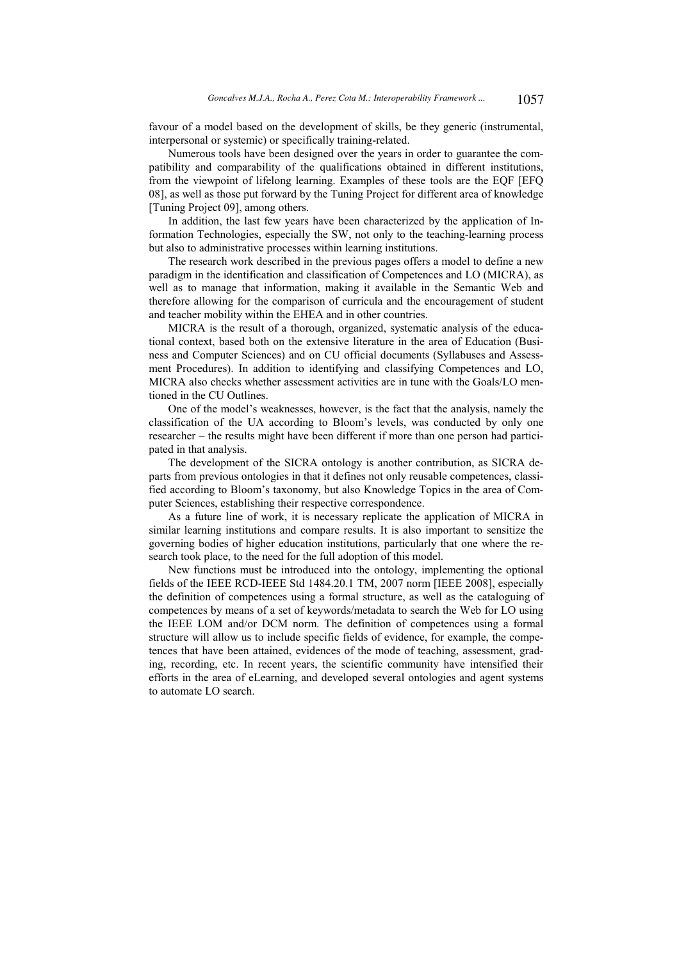favour of a model based on the development of skills, be they generic (instrumental, interpersonal or systemic) or specifically training-related.

Numerous tools have been designed over the years in order to guarantee the compatibility and comparability of the qualifications obtained in different institutions, from the viewpoint of lifelong learning. Examples of these tools are the EQF [EFQ 08], as well as those put forward by the Tuning Project for different area of knowledge [Tuning Project 09], among others.

In addition, the last few years have been characterized by the application of Information Technologies, especially the SW, not only to the teaching-learning process but also to administrative processes within learning institutions.

The research work described in the previous pages offers a model to define a new paradigm in the identification and classification of Competences and LO (MICRA), as well as to manage that information, making it available in the Semantic Web and therefore allowing for the comparison of curricula and the encouragement of student and teacher mobility within the EHEA and in other countries.

MICRA is the result of a thorough, organized, systematic analysis of the educational context, based both on the extensive literature in the area of Education (Business and Computer Sciences) and on CU official documents (Syllabuses and Assessment Procedures). In addition to identifying and classifying Competences and LO, MICRA also checks whether assessment activities are in tune with the Goals/LO mentioned in the CU Outlines.

One of the model's weaknesses, however, is the fact that the analysis, namely the classification of the UA according to Bloom's levels, was conducted by only one researcher – the results might have been different if more than one person had participated in that analysis.

The development of the SICRA ontology is another contribution, as SICRA departs from previous ontologies in that it defines not only reusable competences, classified according to Bloom's taxonomy, but also Knowledge Topics in the area of Computer Sciences, establishing their respective correspondence.

As a future line of work, it is necessary replicate the application of MICRA in similar learning institutions and compare results. It is also important to sensitize the governing bodies of higher education institutions, particularly that one where the research took place, to the need for the full adoption of this model.

New functions must be introduced into the ontology, implementing the optional fields of the IEEE RCD-IEEE Std 1484.20.1 TM, 2007 norm [IEEE 2008], especially the definition of competences using a formal structure, as well as the cataloguing of competences by means of a set of keywords/metadata to search the Web for LO using the IEEE LOM and/or DCM norm. The definition of competences using a formal structure will allow us to include specific fields of evidence, for example, the competences that have been attained, evidences of the mode of teaching, assessment, grading, recording, etc. In recent years, the scientific community have intensified their efforts in the area of eLearning, and developed several ontologies and agent systems to automate LO search.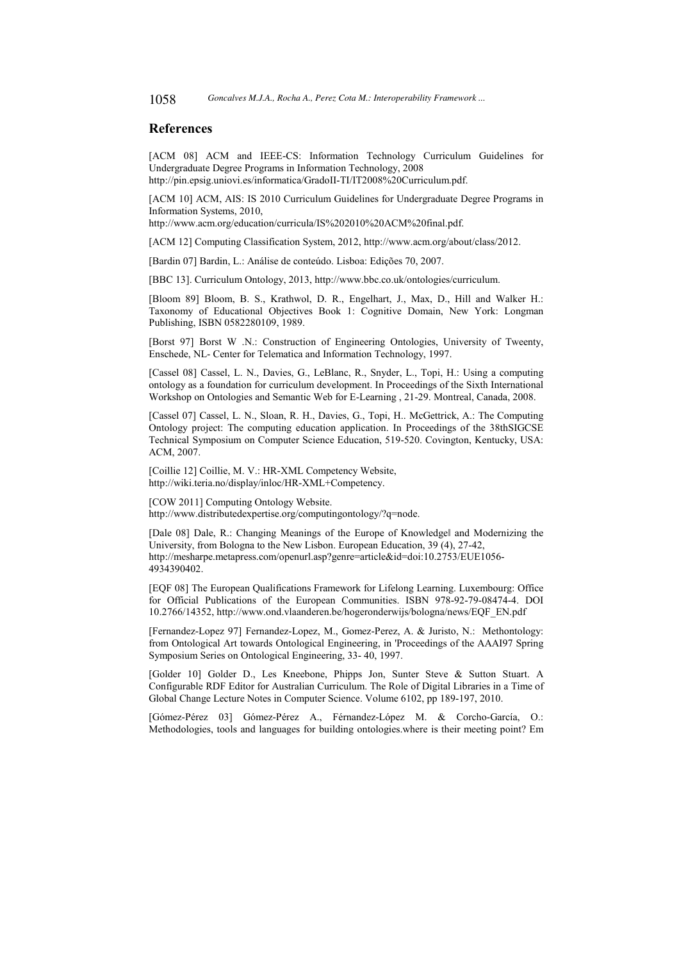#### **References**

[ACM 08] ACM and IEEE-CS: Information Technology Curriculum Guidelines for Undergraduate Degree Programs in Information Technology, 2008 http://pin.epsig.uniovi.es/informatica/GradoII-TI/IT2008%20Curriculum.pdf.

[ACM 10] ACM, AIS: IS 2010 Curriculum Guidelines for Undergraduate Degree Programs in Information Systems, 2010,

http://www.acm.org/education/curricula/IS%202010%20ACM%20final.pdf.

[ACM 12] Computing Classification System, 2012, http://www.acm.org/about/class/2012.

[Bardin 07] Bardin, L.: Análise de conteúdo. Lisboa: Edições 70, 2007.

[BBC 13]. Curriculum Ontology, 2013, http://www.bbc.co.uk/ontologies/curriculum.

[Bloom 89] Bloom, B. S., Krathwol, D. R., Engelhart, J., Max, D., Hill and Walker H.: Taxonomy of Educational Objectives Book 1: Cognitive Domain, New York: Longman Publishing, ISBN 0582280109, 1989.

[Borst 97] Borst W .N.: Construction of Engineering Ontologies, University of Tweenty, Enschede, NL- Center for Telematica and Information Technology, 1997.

[Cassel 08] Cassel, L. N., Davies, G., LeBlanc, R., Snyder, L., Topi, H.: Using a computing ontology as a foundation for curriculum development. In Proceedings of the Sixth International Workshop on Ontologies and Semantic Web for E-Learning , 21-29. Montreal, Canada, 2008.

[Cassel 07] Cassel, L. N., Sloan, R. H., Davies, G., Topi, H.. McGettrick, A.: The Computing Ontology project: The computing education application. In Proceedings of the 38thSIGCSE Technical Symposium on Computer Science Education, 519-520. Covington, Kentucky, USA: ACM, 2007.

[Coillie 12] Coillie, M. V.: HR-XML Competency Website, http://wiki.teria.no/display/inloc/HR-XML+Competency.

[COW 2011] Computing Ontology Website.

http://www.distributedexpertise.org/computingontology/?q=node.

[Dale 08] Dale, R.: Changing Meanings of the Europe of Knowledgel and Modernizing the University, from Bologna to the New Lisbon. European Education, 39 (4), 27-42, http://mesharpe.metapress.com/openurl.asp?genre=article&id=doi:10.2753/EUE1056- 4934390402.

[EQF 08] The European Qualifications Framework for Lifelong Learning. Luxembourg: Office for Official Publications of the European Communities. ISBN 978-92-79-08474-4. DOI 10.2766/14352, http://www.ond.vlaanderen.be/hogeronderwijs/bologna/news/EQF\_EN.pdf

[Fernandez-Lopez 97] Fernandez-Lopez, M., Gomez-Perez, A. & Juristo, N.: Methontology: from Ontological Art towards Ontological Engineering, in 'Proceedings of the AAAI97 Spring Symposium Series on Ontological Engineering, 33- 40, 1997.

[Golder 10] Golder D., Les Kneebone, Phipps Jon, Sunter Steve & Sutton Stuart. A Configurable RDF Editor for Australian Curriculum. The Role of Digital Libraries in a Time of Global Change Lecture Notes in Computer Science. Volume 6102, pp 189-197, 2010.

[Gómez-Pérez 03] Gómez-Pérez A., Férnandez-López M. & Corcho-García, O.: Methodologies, tools and languages for building ontologies.where is their meeting point? Em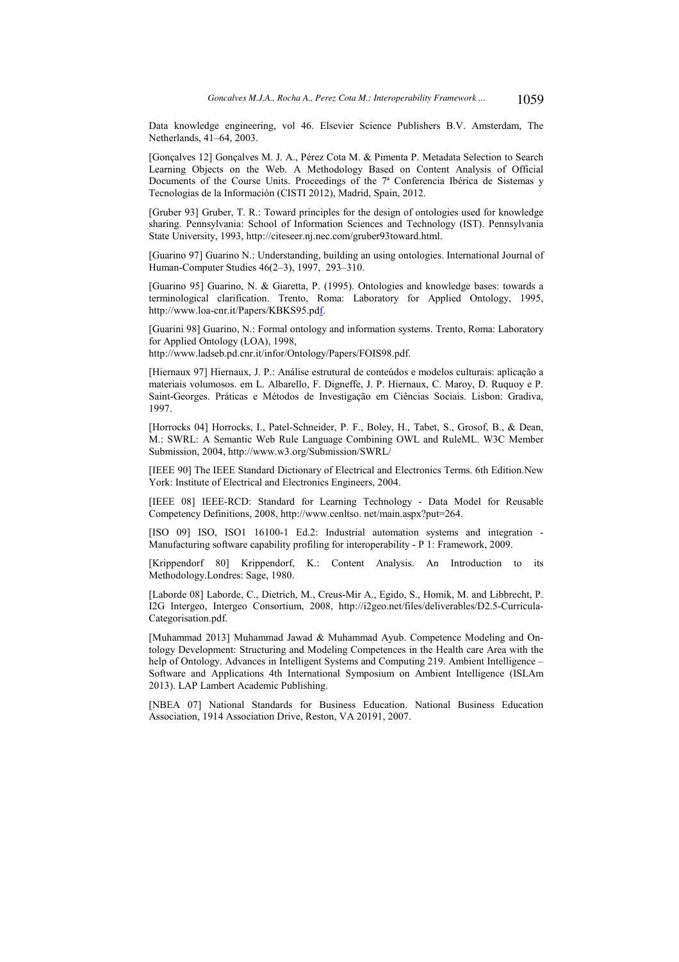Data knowledge engineering, vol 46. Elsevier Science Publishers B.V. Amsterdam, The Netherlands, 41–64, 2003.

[Gonçalves 12] Gonçalves M. J. A., Pérez Cota M. & Pimenta P. Metadata Selection to Search Learning Objects on the Web. A Methodology Based on Content Analysis of Official Documents of the Course Units. Proceedings of the 7ª Conferencia Ibérica de Sistemas y Tecnologias de la Información (CISTI 2012), Madrid, Spain, 2012.

[Gruber 93] Gruber, T. R.: Toward principles for the design of ontologies used for knowledge sharing. Pennsylvania: School of Information Sciences and Technology (IST). Pennsylvania State University, 1993, http://citeseer.nj.nec.com/gruber93toward.html.

[Guarino 97] Guarino N.: Understanding, building an using ontologies. International Journal of Human-Computer Studies 46(2–3), 1997, 293–310.

[Guarino 95] Guarino, N. & Giaretta, P. (1995). Ontologies and knowledge bases: towards a terminological clarification. Trento, Roma: Laboratory for Applied Ontology, 1995, http://www.loa-cnr.it/Papers/KBKS95.pdf.

[Guarini 98] Guarino, N.: Formal ontology and information systems. Trento, Roma: Laboratory for Applied Ontology (LOA), 1998,

http://www.ladseb.pd.cnr.it/infor/Ontology/Papers/FOIS98.pdf.

[Hiernaux 97] Hiernaux, J. P.: Análise estrutural de conteúdos e modelos culturais: aplicação a materiais volumosos. em L. Albarello, F. Digneffe, J. P. Hiernaux, C. Maroy, D. Ruquoy e P. Saint-Georges. Práticas e Métodos de Investigação em Ciências Sociais. Lisbon: Gradiva, 1997.

[Horrocks 04] Horrocks, I., Patel-Schneider, P. F., Boley, H., Tabet, S., Grosof, B., & Dean, M.: SWRL: A Semantic Web Rule Language Combining OWL and RuleML. W3C Member Submission, 2004, http://www.w3.org/Submission/SWRL/

[IEEE 90] The IEEE Standard Dictionary of Electrical and Electronics Terms. 6th Edition.New York: Institute of Electrical and Electronics Engineers, 2004.

[IEEE 08] IEEE-RCD: Standard for Learning Technology - Data Model for Reusable Competency Definitions, 2008, http://www.cenltso. net/main.aspx?put=264.

[ISO 09] ISO, ISO1 16100-1 Ed.2: Industrial automation systems and integration -Manufacturing software capability profiling for interoperability - P 1: Framework, 2009.

[Krippendorf 80] Krippendorf, K.: Content Analysis. An Introduction to its Methodology.Londres: Sage, 1980.

[Laborde 08] Laborde, C., Dietrich, M., Creus-Mir A., Egido, S., Homik, M. and Libbrecht, P. I2G Intergeo, Intergeo Consortium, 2008, http://i2geo.net/files/deliverables/D2.5-Curricula-Categorisation.pdf.

[Muhammad 2013] Muhammad Jawad & Muhammad Ayub. Competence Modeling and Ontology Development: Structuring and Modeling Competences in the Health care Area with the help of Ontology. Advances in Intelligent Systems and Computing 219. Ambient Intelligence – Software and Applications 4th International Symposium on Ambient Intelligence (ISLAm 2013). LAP Lambert Academic Publishing.

[NBEA 07] National Standards for Business Education. National Business Education Association, 1914 Association Drive, Reston, VA 20191, 2007.